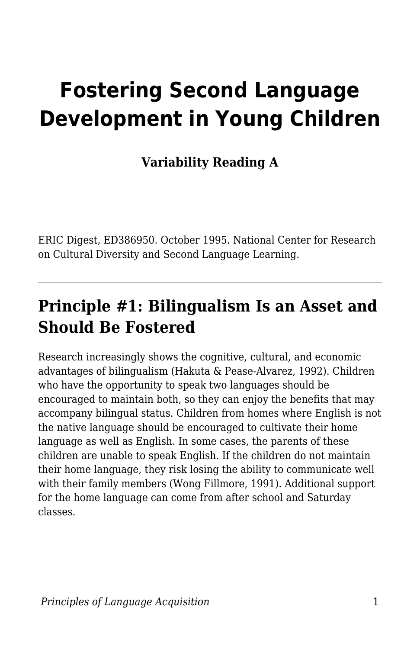# **Fostering Second Language Development in Young Children**

**Variability Reading A**

ERIC Digest, ED386950. October 1995. National Center for Research on Cultural Diversity and Second Language Learning.

#### **Principle #1: Bilingualism Is an Asset and Should Be Fostered**

Research increasingly shows the cognitive, cultural, and economic advantages of bilingualism (Hakuta & Pease-Alvarez, 1992). Children who have the opportunity to speak two languages should be encouraged to maintain both, so they can enjoy the benefits that may accompany bilingual status. Children from homes where English is not the native language should be encouraged to cultivate their home language as well as English. In some cases, the parents of these children are unable to speak English. If the children do not maintain their home language, they risk losing the ability to communicate well with their family members (Wong Fillmore, 1991). Additional support for the home language can come from after school and Saturday classes.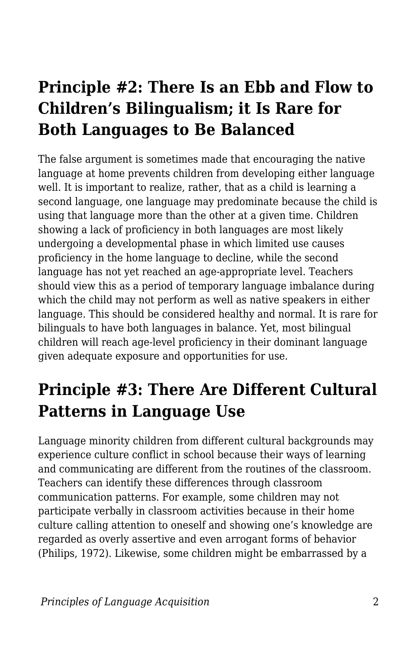### **Principle #2: There Is an Ebb and Flow to Children's Bilingualism; it Is Rare for Both Languages to Be Balanced**

The false argument is sometimes made that encouraging the native language at home prevents children from developing either language well. It is important to realize, rather, that as a child is learning a second language, one language may predominate because the child is using that language more than the other at a given time. Children showing a lack of proficiency in both languages are most likely undergoing a developmental phase in which limited use causes proficiency in the home language to decline, while the second language has not yet reached an age-appropriate level. Teachers should view this as a period of temporary language imbalance during which the child may not perform as well as native speakers in either language. This should be considered healthy and normal. It is rare for bilinguals to have both languages in balance. Yet, most bilingual children will reach age-level proficiency in their dominant language given adequate exposure and opportunities for use.

### **Principle #3: There Are Different Cultural Patterns in Language Use**

Language minority children from different cultural backgrounds may experience culture conflict in school because their ways of learning and communicating are different from the routines of the classroom. Teachers can identify these differences through classroom communication patterns. For example, some children may not participate verbally in classroom activities because in their home culture calling attention to oneself and showing one's knowledge are regarded as overly assertive and even arrogant forms of behavior (Philips, 1972). Likewise, some children might be embarrassed by a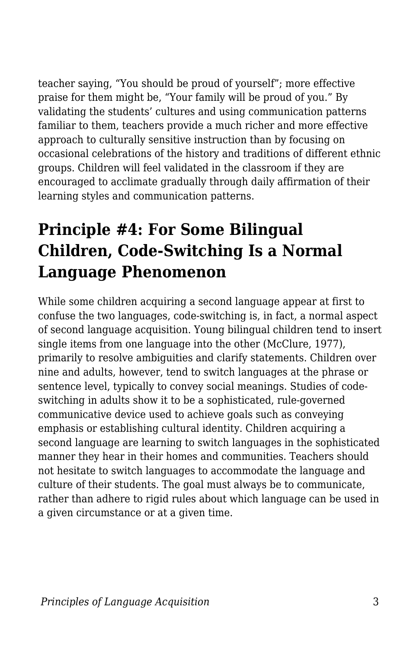teacher saying, "You should be proud of yourself"; more effective praise for them might be, "Your family will be proud of you." By validating the students' cultures and using communication patterns familiar to them, teachers provide a much richer and more effective approach to culturally sensitive instruction than by focusing on occasional celebrations of the history and traditions of different ethnic groups. Children will feel validated in the classroom if they are encouraged to acclimate gradually through daily affirmation of their learning styles and communication patterns.

### **Principle #4: For Some Bilingual Children, Code-Switching Is a Normal Language Phenomenon**

While some children acquiring a second language appear at first to confuse the two languages, code-switching is, in fact, a normal aspect of second language acquisition. Young bilingual children tend to insert single items from one language into the other (McClure, 1977), primarily to resolve ambiguities and clarify statements. Children over nine and adults, however, tend to switch languages at the phrase or sentence level, typically to convey social meanings. Studies of codeswitching in adults show it to be a sophisticated, rule-governed communicative device used to achieve goals such as conveying emphasis or establishing cultural identity. Children acquiring a second language are learning to switch languages in the sophisticated manner they hear in their homes and communities. Teachers should not hesitate to switch languages to accommodate the language and culture of their students. The goal must always be to communicate, rather than adhere to rigid rules about which language can be used in a given circumstance or at a given time.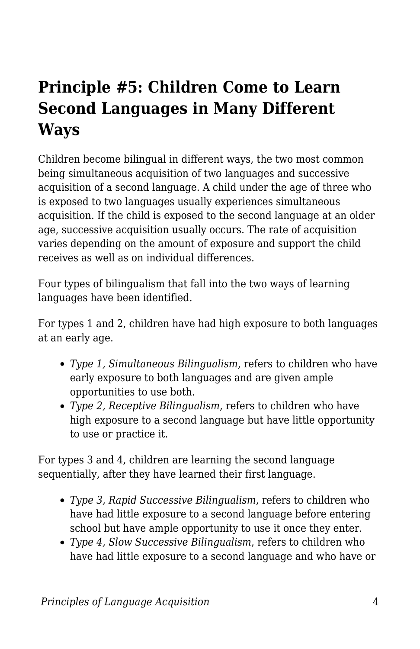# **Principle #5: Children Come to Learn Second Languages in Many Different Ways**

Children become bilingual in different ways, the two most common being simultaneous acquisition of two languages and successive acquisition of a second language. A child under the age of three who is exposed to two languages usually experiences simultaneous acquisition. If the child is exposed to the second language at an older age, successive acquisition usually occurs. The rate of acquisition varies depending on the amount of exposure and support the child receives as well as on individual differences.

Four types of bilingualism that fall into the two ways of learning languages have been identified.

For types 1 and 2, children have had high exposure to both languages at an early age.

- *Type 1, Simultaneous Bilingualism*, refers to children who have early exposure to both languages and are given ample opportunities to use both.
- *Type 2, Receptive Bilingualism*, refers to children who have high exposure to a second language but have little opportunity to use or practice it.

For types 3 and 4, children are learning the second language sequentially, after they have learned their first language.

- *Type 3, Rapid Successive Bilingualism*, refers to children who have had little exposure to a second language before entering school but have ample opportunity to use it once they enter.
- *Type 4, Slow Successive Bilingualism*, refers to children who have had little exposure to a second language and who have or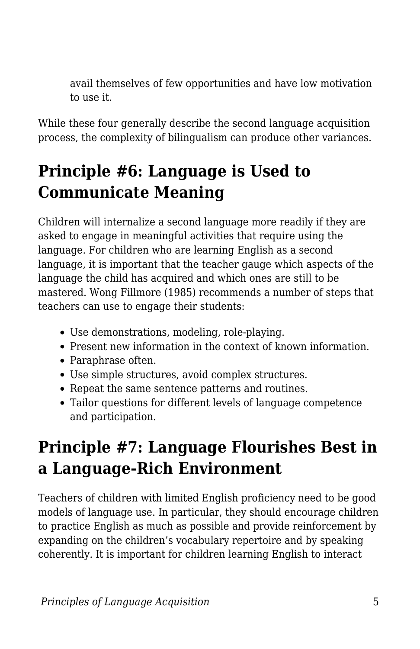avail themselves of few opportunities and have low motivation to use it.

While these four generally describe the second language acquisition process, the complexity of bilingualism can produce other variances.

# **Principle #6: Language is Used to Communicate Meaning**

Children will internalize a second language more readily if they are asked to engage in meaningful activities that require using the language. For children who are learning English as a second language, it is important that the teacher gauge which aspects of the language the child has acquired and which ones are still to be mastered. Wong Fillmore (1985) recommends a number of steps that teachers can use to engage their students:

- Use demonstrations, modeling, role-playing.
- Present new information in the context of known information.
- Paraphrase often.
- Use simple structures, avoid complex structures.
- Repeat the same sentence patterns and routines.
- Tailor questions for different levels of language competence and participation.

# **Principle #7: Language Flourishes Best in a Language-Rich Environment**

Teachers of children with limited English proficiency need to be good models of language use. In particular, they should encourage children to practice English as much as possible and provide reinforcement by expanding on the children's vocabulary repertoire and by speaking coherently. It is important for children learning English to interact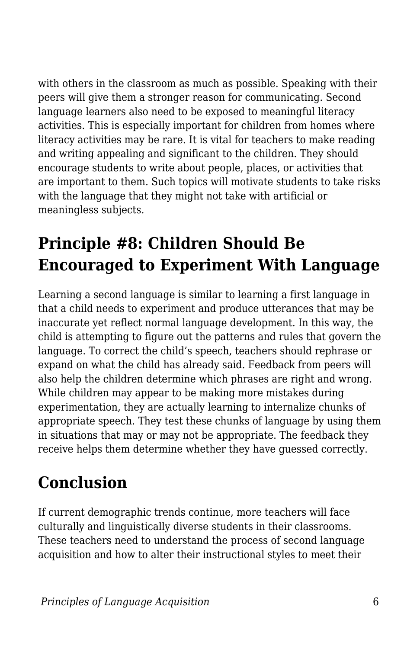with others in the classroom as much as possible. Speaking with their peers will give them a stronger reason for communicating. Second language learners also need to be exposed to meaningful literacy activities. This is especially important for children from homes where literacy activities may be rare. It is vital for teachers to make reading and writing appealing and significant to the children. They should encourage students to write about people, places, or activities that are important to them. Such topics will motivate students to take risks with the language that they might not take with artificial or meaningless subjects.

# **Principle #8: Children Should Be Encouraged to Experiment With Language**

Learning a second language is similar to learning a first language in that a child needs to experiment and produce utterances that may be inaccurate yet reflect normal language development. In this way, the child is attempting to figure out the patterns and rules that govern the language. To correct the child's speech, teachers should rephrase or expand on what the child has already said. Feedback from peers will also help the children determine which phrases are right and wrong. While children may appear to be making more mistakes during experimentation, they are actually learning to internalize chunks of appropriate speech. They test these chunks of language by using them in situations that may or may not be appropriate. The feedback they receive helps them determine whether they have guessed correctly.

# **Conclusion**

If current demographic trends continue, more teachers will face culturally and linguistically diverse students in their classrooms. These teachers need to understand the process of second language acquisition and how to alter their instructional styles to meet their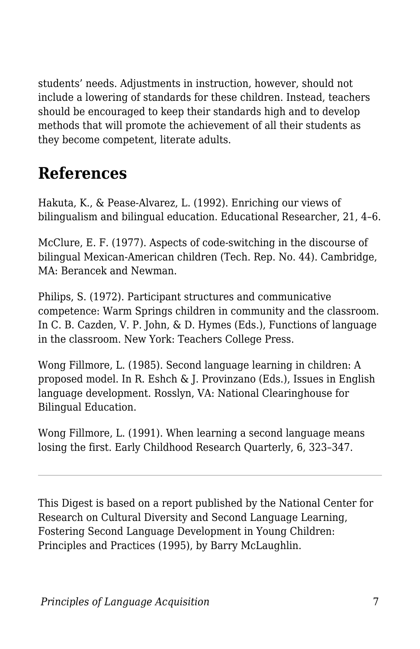students' needs. Adjustments in instruction, however, should not include a lowering of standards for these children. Instead, teachers should be encouraged to keep their standards high and to develop methods that will promote the achievement of all their students as they become competent, literate adults.

### **References**

Hakuta, K., & Pease-Alvarez, L. (1992). Enriching our views of bilingualism and bilingual education. Educational Researcher, 21, 4–6.

McClure, E. F. (1977). Aspects of code-switching in the discourse of bilingual Mexican-American children (Tech. Rep. No. 44). Cambridge, MA: Berancek and Newman.

Philips, S. (1972). Participant structures and communicative competence: Warm Springs children in community and the classroom. In C. B. Cazden, V. P. John, & D. Hymes (Eds.), Functions of language in the classroom. New York: Teachers College Press.

Wong Fillmore, L. (1985). Second language learning in children: A proposed model. In R. Eshch & J. Provinzano (Eds.), Issues in English language development. Rosslyn, VA: National Clearinghouse for Bilingual Education.

Wong Fillmore, L. (1991). When learning a second language means losing the first. Early Childhood Research Quarterly, 6, 323–347.

This Digest is based on a report published by the National Center for Research on Cultural Diversity and Second Language Learning, Fostering Second Language Development in Young Children: Principles and Practices (1995), by Barry McLaughlin.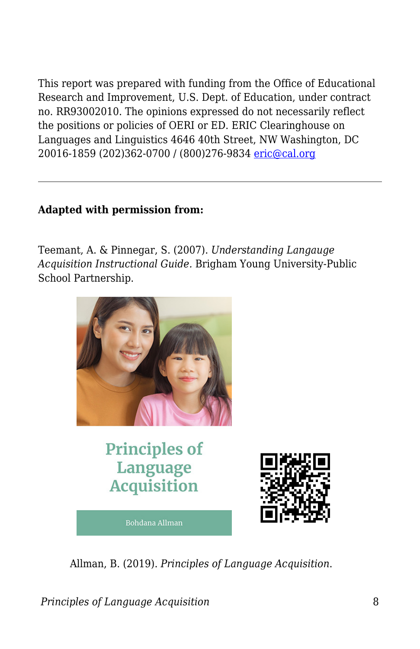This report was prepared with funding from the Office of Educational Research and Improvement, U.S. Dept. of Education, under contract no. RR93002010. The opinions expressed do not necessarily reflect the positions or policies of OERI or ED. ERIC Clearinghouse on Languages and Linguistics 4646 40th Street, NW Washington, DC 20016-1859 (202)362-0700 / (800)276-9834 [eric@cal.org](mailto:eric@cal.org)

#### **Adapted with permission from:**

Teemant, A. & Pinnegar, S. (2007). *Understanding Langauge Acquisition Instructional Guide.* Brigham Young University-Public School Partnership.



Allman, B. (2019). *Principles of Language Acquisition*.

*Principles of Language Acquisition* 8